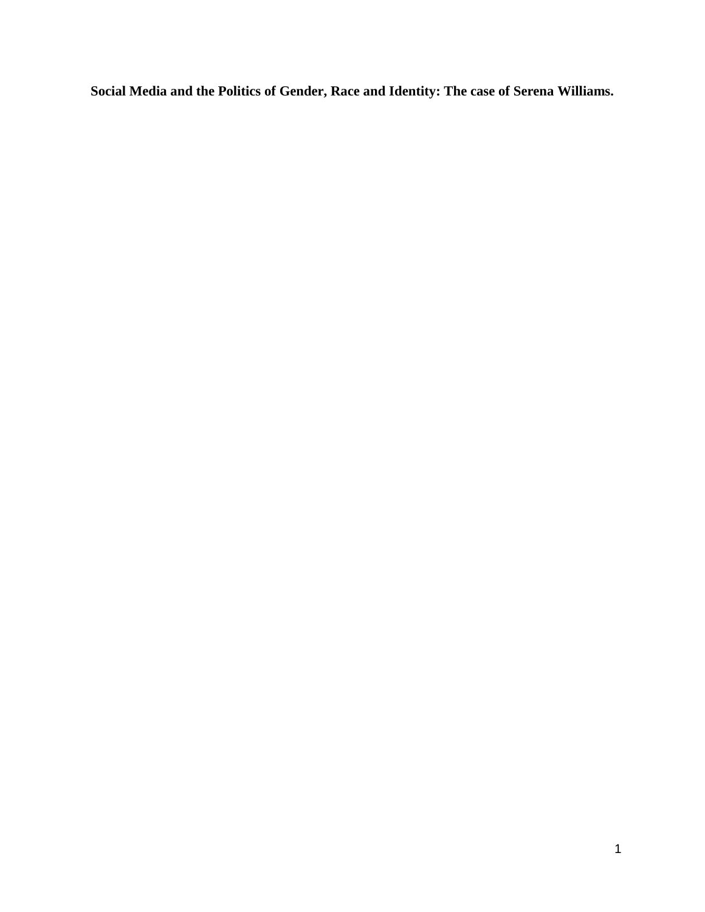**Social Media and the Politics of Gender, Race and Identity: The case of Serena Williams.**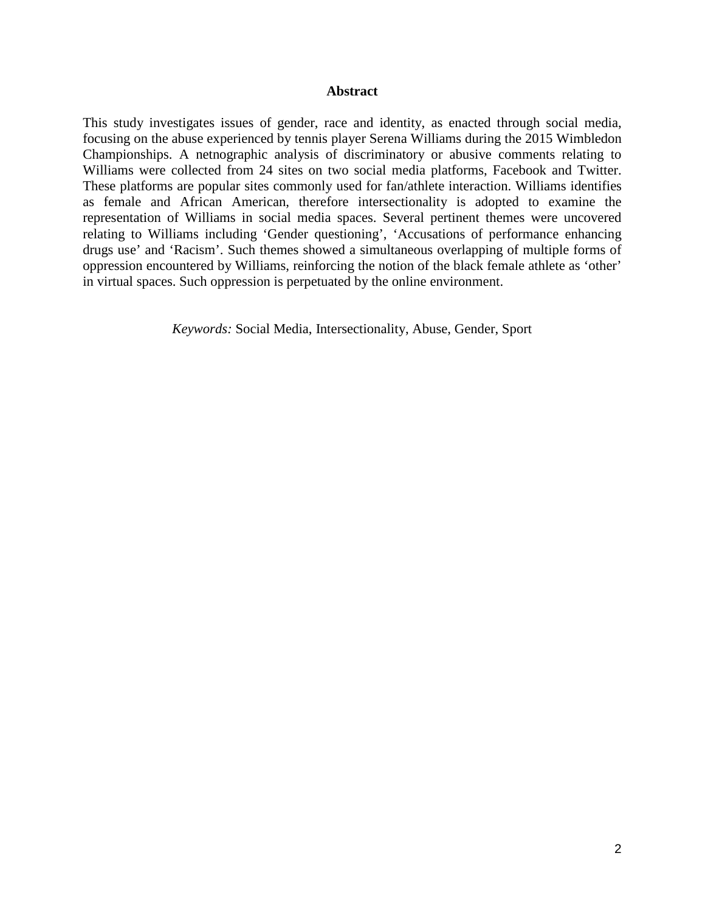# **Abstract**

This study investigates issues of gender, race and identity, as enacted through social media, focusing on the abuse experienced by tennis player Serena Williams during the 2015 Wimbledon Championships. A netnographic analysis of discriminatory or abusive comments relating to Williams were collected from 24 sites on two social media platforms, Facebook and Twitter. These platforms are popular sites commonly used for fan/athlete interaction. Williams identifies as female and African American, therefore intersectionality is adopted to examine the representation of Williams in social media spaces. Several pertinent themes were uncovered relating to Williams including 'Gender questioning', 'Accusations of performance enhancing drugs use' and 'Racism'. Such themes showed a simultaneous overlapping of multiple forms of oppression encountered by Williams, reinforcing the notion of the black female athlete as 'other' in virtual spaces. Such oppression is perpetuated by the online environment.

*Keywords:* Social Media, Intersectionality, Abuse, Gender, Sport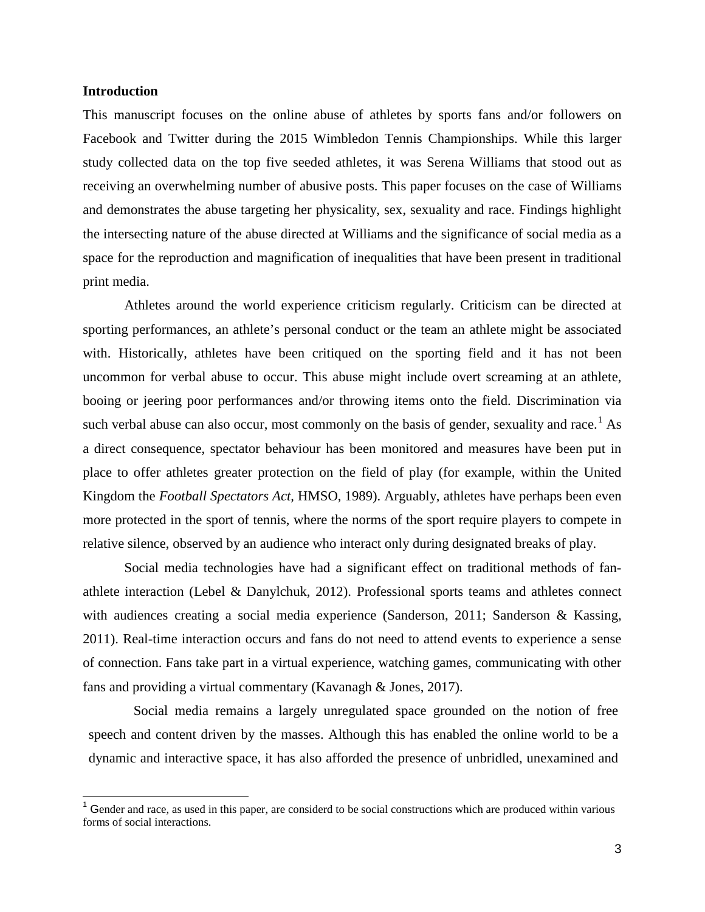# **Introduction**

This manuscript focuses on the online abuse of athletes by sports fans and/or followers on Facebook and Twitter during the 2015 Wimbledon Tennis Championships. While this larger study collected data on the top five seeded athletes, it was Serena Williams that stood out as receiving an overwhelming number of abusive posts. This paper focuses on the case of Williams and demonstrates the abuse targeting her physicality, sex, sexuality and race. Findings highlight the intersecting nature of the abuse directed at Williams and the significance of social media as a space for the reproduction and magnification of inequalities that have been present in traditional print media.

Athletes around the world experience criticism regularly. Criticism can be directed at sporting performances, an athlete's personal conduct or the team an athlete might be associated with. Historically, athletes have been critiqued on the sporting field and it has not been uncommon for verbal abuse to occur. This abuse might include overt screaming at an athlete, booing or jeering poor performances and/or throwing items onto the field. Discrimination via such verbal abuse can also occur, most commonly on the basis of gender, sexuality and race.<sup>[1](#page-2-0)</sup> As a direct consequence, spectator behaviour has been monitored and measures have been put in place to offer athletes greater protection on the field of play (for example, within the United Kingdom the *Football Spectators Act,* HMSO, 1989). Arguably, athletes have perhaps been even more protected in the sport of tennis, where the norms of the sport require players to compete in relative silence, observed by an audience who interact only during designated breaks of play.

Social media technologies have had a significant effect on traditional methods of fanathlete interaction (Lebel & Danylchuk, 2012). Professional sports teams and athletes connect with audiences creating a social media experience (Sanderson, 2011; Sanderson & Kassing, 2011). Real-time interaction occurs and fans do not need to attend events to experience a sense of connection. Fans take part in a virtual experience, watching games, communicating with other fans and providing a virtual commentary (Kavanagh & Jones, 2017).

Social media remains a largely unregulated space grounded on the notion of free speech and content driven by the masses. Although this has enabled the online world to be a dynamic and interactive space, it has also afforded the presence of unbridled, unexamined and

<span id="page-2-0"></span><sup>&</sup>lt;sup>1</sup> Gender and race, as used in this paper, are considerd to be social constructions which are produced within various forms of social interactions.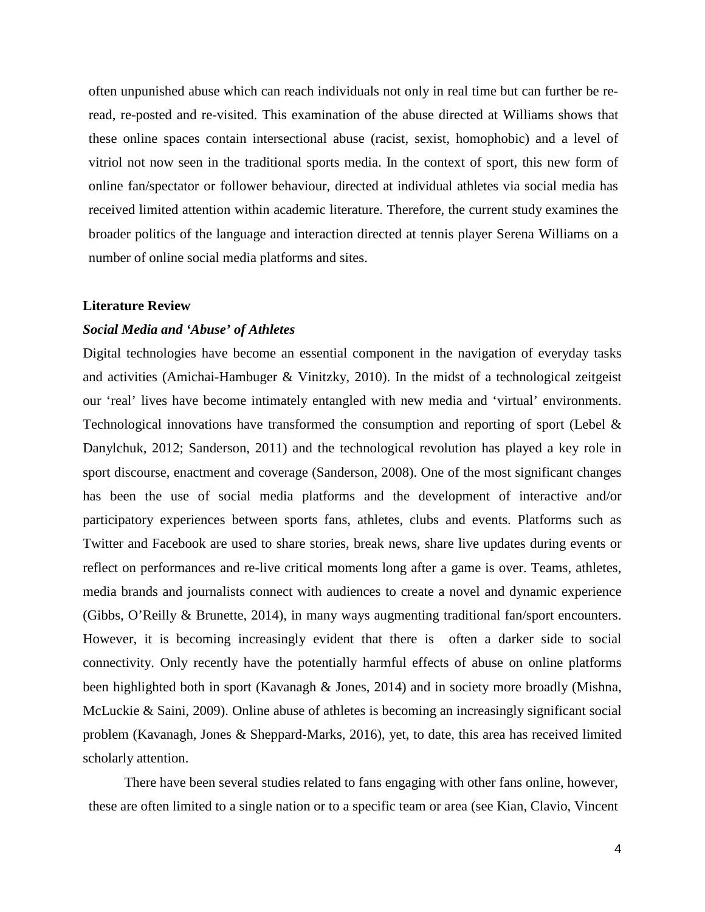often unpunished abuse which can reach individuals not only in real time but can further be reread, re-posted and re-visited. This examination of the abuse directed at Williams shows that these online spaces contain intersectional abuse (racist, sexist, homophobic) and a level of vitriol not now seen in the traditional sports media. In the context of sport, this new form of online fan/spectator or follower behaviour, directed at individual athletes via social media has received limited attention within academic literature. Therefore, the current study examines the broader politics of the language and interaction directed at tennis player Serena Williams on a number of online social media platforms and sites.

#### **Literature Review**

# *Social Media and 'Abuse' of Athletes*

Digital technologies have become an essential component in the navigation of everyday tasks and activities (Amichai-Hambuger & Vinitzky, 2010). In the midst of a technological zeitgeist our 'real' lives have become intimately entangled with new media and 'virtual' environments. Technological innovations have transformed the consumption and reporting of sport (Lebel  $\&$ Danylchuk, 2012; Sanderson, 2011) and the technological revolution has played a key role in sport discourse, enactment and coverage (Sanderson, 2008). One of the most significant changes has been the use of social media platforms and the development of interactive and/or participatory experiences between sports fans, athletes, clubs and events. Platforms such as Twitter and Facebook are used to share stories, break news, share live updates during events or reflect on performances and re-live critical moments long after a game is over. Teams, athletes, media brands and journalists connect with audiences to create a novel and dynamic experience (Gibbs, O'Reilly & Brunette, 2014), in many ways augmenting traditional fan/sport encounters. However, it is becoming increasingly evident that there is often a darker side to social connectivity. Only recently have the potentially harmful effects of abuse on online platforms been highlighted both in sport (Kavanagh & Jones, 2014) and in society more broadly (Mishna, McLuckie & Saini, 2009). Online abuse of athletes is becoming an increasingly significant social problem (Kavanagh, Jones & Sheppard-Marks, 2016), yet, to date, this area has received limited scholarly attention.

There have been several studies related to fans engaging with other fans online, however, these are often limited to a single nation or to a specific team or area (see Kian, Clavio, Vincent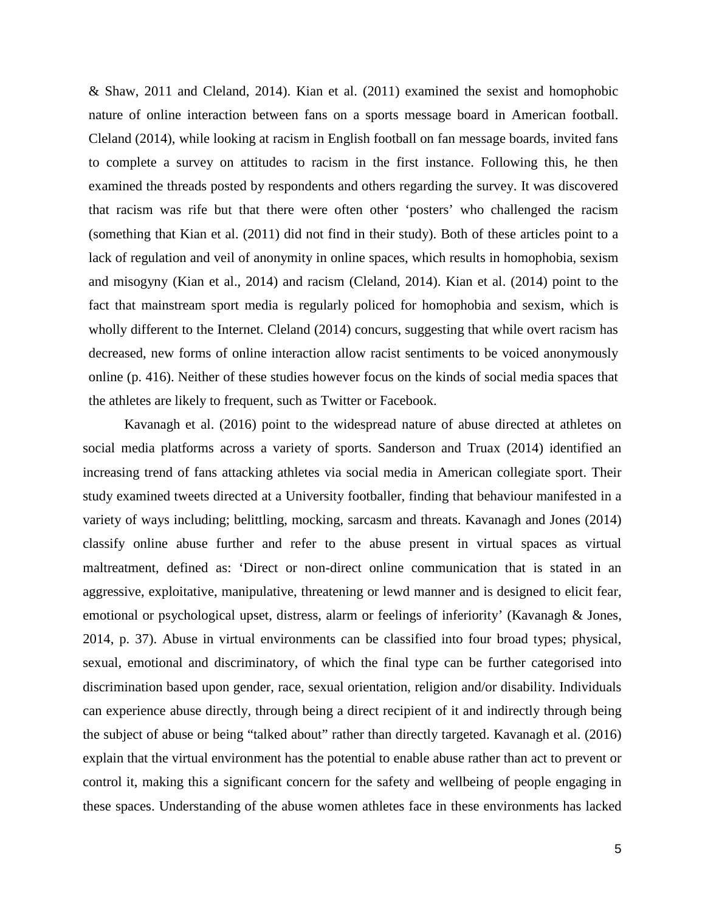& Shaw, 2011 and Cleland, 2014). Kian et al. (2011) examined the sexist and homophobic nature of online interaction between fans on a sports message board in American football. Cleland (2014), while looking at racism in English football on fan message boards, invited fans to complete a survey on attitudes to racism in the first instance. Following this, he then examined the threads posted by respondents and others regarding the survey. It was discovered that racism was rife but that there were often other 'posters' who challenged the racism (something that Kian et al. (2011) did not find in their study). Both of these articles point to a lack of regulation and veil of anonymity in online spaces, which results in homophobia, sexism and misogyny (Kian et al., 2014) and racism (Cleland, 2014). Kian et al. (2014) point to the fact that mainstream sport media is regularly policed for homophobia and sexism, which is wholly different to the Internet. Cleland (2014) concurs, suggesting that while overt racism has decreased, new forms of online interaction allow racist sentiments to be voiced anonymously online (p. 416). Neither of these studies however focus on the kinds of social media spaces that the athletes are likely to frequent, such as Twitter or Facebook.

Kavanagh et al. (2016) point to the widespread nature of abuse directed at athletes on social media platforms across a variety of sports. Sanderson and Truax (2014) identified an increasing trend of fans attacking athletes via social media in American collegiate sport. Their study examined tweets directed at a University footballer, finding that behaviour manifested in a variety of ways including; belittling, mocking, sarcasm and threats. Kavanagh and Jones (2014) classify online abuse further and refer to the abuse present in virtual spaces as virtual maltreatment, defined as: 'Direct or non-direct online communication that is stated in an aggressive, exploitative, manipulative, threatening or lewd manner and is designed to elicit fear, emotional or psychological upset, distress, alarm or feelings of inferiority' (Kavanagh & Jones, 2014, p. 37). Abuse in virtual environments can be classified into four broad types; physical, sexual, emotional and discriminatory, of which the final type can be further categorised into discrimination based upon gender, race, sexual orientation, religion and/or disability. Individuals can experience abuse directly, through being a direct recipient of it and indirectly through being the subject of abuse or being "talked about" rather than directly targeted. Kavanagh et al. (2016) explain that the virtual environment has the potential to enable abuse rather than act to prevent or control it, making this a significant concern for the safety and wellbeing of people engaging in these spaces. Understanding of the abuse women athletes face in these environments has lacked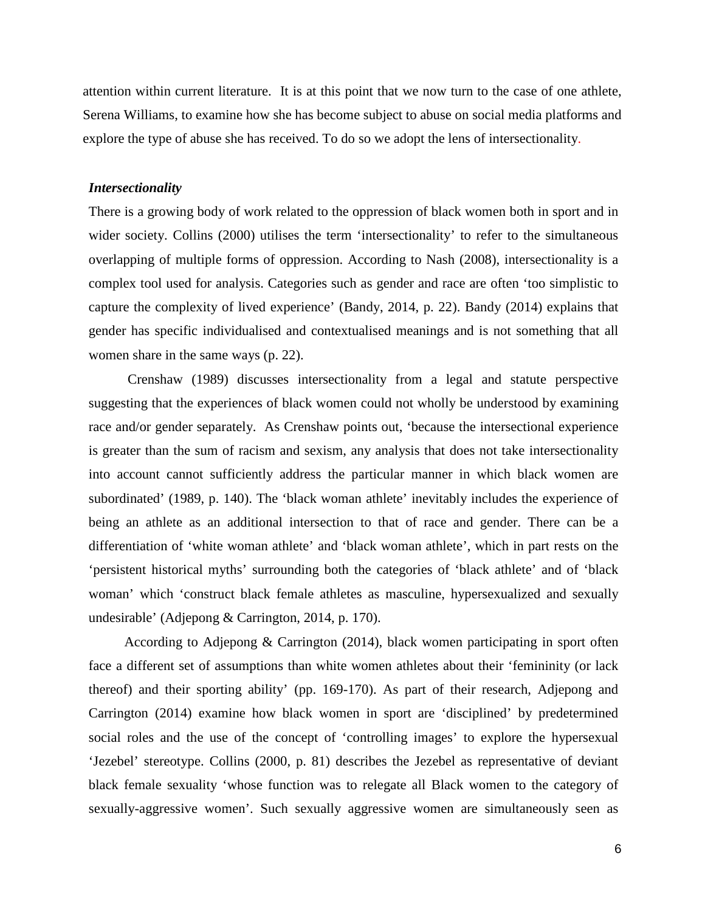attention within current literature. It is at this point that we now turn to the case of one athlete, Serena Williams, to examine how she has become subject to abuse on social media platforms and explore the type of abuse she has received. To do so we adopt the lens of intersectionality.

#### *Intersectionality*

There is a growing body of work related to the oppression of black women both in sport and in wider society. Collins (2000) utilises the term 'intersectionality' to refer to the simultaneous overlapping of multiple forms of oppression. According to Nash (2008), intersectionality is a complex tool used for analysis. Categories such as gender and race are often 'too simplistic to capture the complexity of lived experience' (Bandy, 2014, p. 22). Bandy (2014) explains that gender has specific individualised and contextualised meanings and is not something that all women share in the same ways (p. 22).

Crenshaw (1989) discusses intersectionality from a legal and statute perspective suggesting that the experiences of black women could not wholly be understood by examining race and/or gender separately. As Crenshaw points out, 'because the intersectional experience is greater than the sum of racism and sexism, any analysis that does not take intersectionality into account cannot sufficiently address the particular manner in which black women are subordinated' (1989, p. 140). The 'black woman athlete' inevitably includes the experience of being an athlete as an additional intersection to that of race and gender. There can be a differentiation of 'white woman athlete' and 'black woman athlete', which in part rests on the 'persistent historical myths' surrounding both the categories of 'black athlete' and of 'black woman' which 'construct black female athletes as masculine, hypersexualized and sexually undesirable' (Adjepong & Carrington, 2014, p. 170).

According to Adjepong & Carrington (2014), black women participating in sport often face a different set of assumptions than white women athletes about their 'femininity (or lack thereof) and their sporting ability' (pp. 169-170). As part of their research, Adjepong and Carrington (2014) examine how black women in sport are 'disciplined' by predetermined social roles and the use of the concept of 'controlling images' to explore the hypersexual 'Jezebel' stereotype. Collins (2000, p. 81) describes the Jezebel as representative of deviant black female sexuality 'whose function was to relegate all Black women to the category of sexually-aggressive women'. Such sexually aggressive women are simultaneously seen as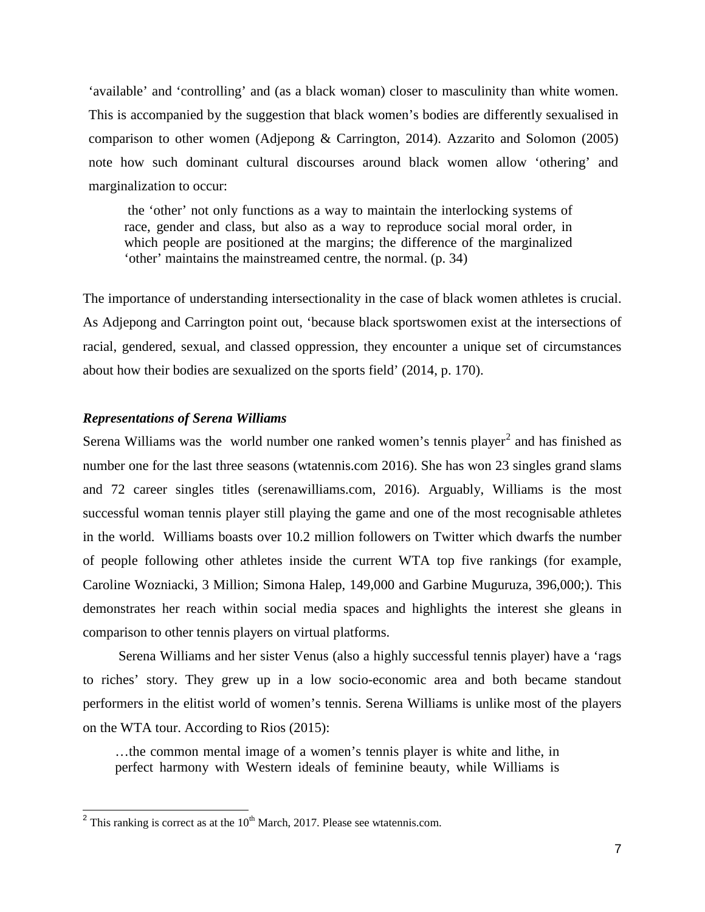'available' and 'controlling' and (as a black woman) closer to masculinity than white women. This is accompanied by the suggestion that black women's bodies are differently sexualised in comparison to other women (Adjepong & Carrington, 2014). Azzarito and Solomon (2005) note how such dominant cultural discourses around black women allow 'othering' and marginalization to occur:

the 'other' not only functions as a way to maintain the interlocking systems of race, gender and class, but also as a way to reproduce social moral order, in which people are positioned at the margins; the difference of the marginalized 'other' maintains the mainstreamed centre, the normal. (p. 34)

The importance of understanding intersectionality in the case of black women athletes is crucial. As Adjepong and Carrington point out, 'because black sportswomen exist at the intersections of racial, gendered, sexual, and classed oppression, they encounter a unique set of circumstances about how their bodies are sexualized on the sports field' (2014, p. 170).

# *Representations of Serena Williams*

Serena Williams was the world number one ranked women's tennis player<sup>[2](#page-6-0)</sup> and has finished as number one for the last three seasons (wtatennis.com 2016). She has won 23 singles grand slams and 72 career singles titles (serenawilliams.com, 2016). Arguably, Williams is the most successful woman tennis player still playing the game and one of the most recognisable athletes in the world. Williams boasts over 10.2 million followers on Twitter which dwarfs the number of people following other athletes inside the current WTA top five rankings (for example, Caroline Wozniacki, 3 Million; Simona Halep, 149,000 and Garbine Muguruza, 396,000;). This demonstrates her reach within social media spaces and highlights the interest she gleans in comparison to other tennis players on virtual platforms.

Serena Williams and her sister Venus (also a highly successful tennis player) have a 'rags to riches' story. They grew up in a low socio-economic area and both became standout performers in the elitist world of women's tennis. Serena Williams is unlike most of the players on the WTA tour. According to Rios (2015):

…the common mental image of a women's tennis player is white and lithe, in perfect harmony with Western ideals of feminine beauty, while Williams is

<span id="page-6-0"></span> $2$  This ranking is correct as at the 10<sup>th</sup> March, 2017. Please see wtatennis.com.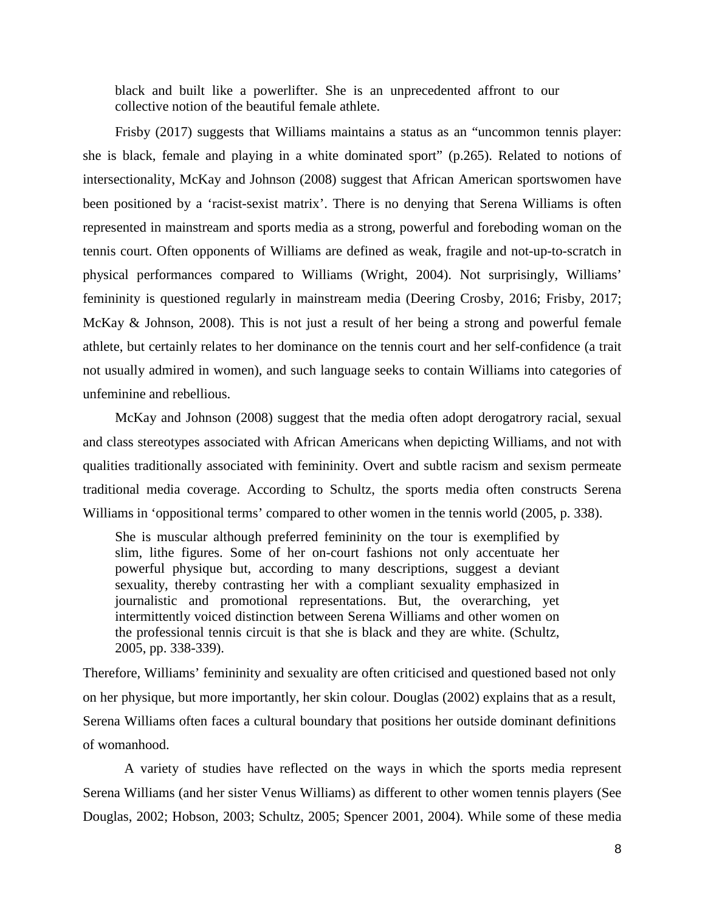black and built like a powerlifter. She is an unprecedented affront to our collective notion of the beautiful female athlete.

Frisby (2017) suggests that Williams maintains a status as an "uncommon tennis player: she is black, female and playing in a white dominated sport" (p.265). Related to notions of intersectionality, McKay and Johnson (2008) suggest that African American sportswomen have been positioned by a 'racist-sexist matrix'. There is no denying that Serena Williams is often represented in mainstream and sports media as a strong, powerful and foreboding woman on the tennis court. Often opponents of Williams are defined as weak, fragile and not-up-to-scratch in physical performances compared to Williams (Wright, 2004). Not surprisingly, Williams' femininity is questioned regularly in mainstream media (Deering Crosby, 2016; Frisby, 2017; McKay & Johnson, 2008). This is not just a result of her being a strong and powerful female athlete, but certainly relates to her dominance on the tennis court and her self-confidence (a trait not usually admired in women), and such language seeks to contain Williams into categories of unfeminine and rebellious.

McKay and Johnson (2008) suggest that the media often adopt derogatrory racial, sexual and class stereotypes associated with African Americans when depicting Williams, and not with qualities traditionally associated with femininity. Overt and subtle racism and sexism permeate traditional media coverage. According to Schultz, the sports media often constructs Serena Williams in 'oppositional terms' compared to other women in the tennis world (2005, p. 338).

She is muscular although preferred femininity on the tour is exemplified by slim, lithe figures. Some of her on-court fashions not only accentuate her powerful physique but, according to many descriptions, suggest a deviant sexuality, thereby contrasting her with a compliant sexuality emphasized in journalistic and promotional representations. But, the overarching, yet intermittently voiced distinction between Serena Williams and other women on the professional tennis circuit is that she is black and they are white. (Schultz, 2005, pp. 338-339).

Therefore, Williams' femininity and sexuality are often criticised and questioned based not only on her physique, but more importantly, her skin colour. Douglas (2002) explains that as a result, Serena Williams often faces a cultural boundary that positions her outside dominant definitions of womanhood.

A variety of studies have reflected on the ways in which the sports media represent Serena Williams (and her sister Venus Williams) as different to other women tennis players (See Douglas, 2002; Hobson, 2003; Schultz, 2005; Spencer 2001, 2004). While some of these media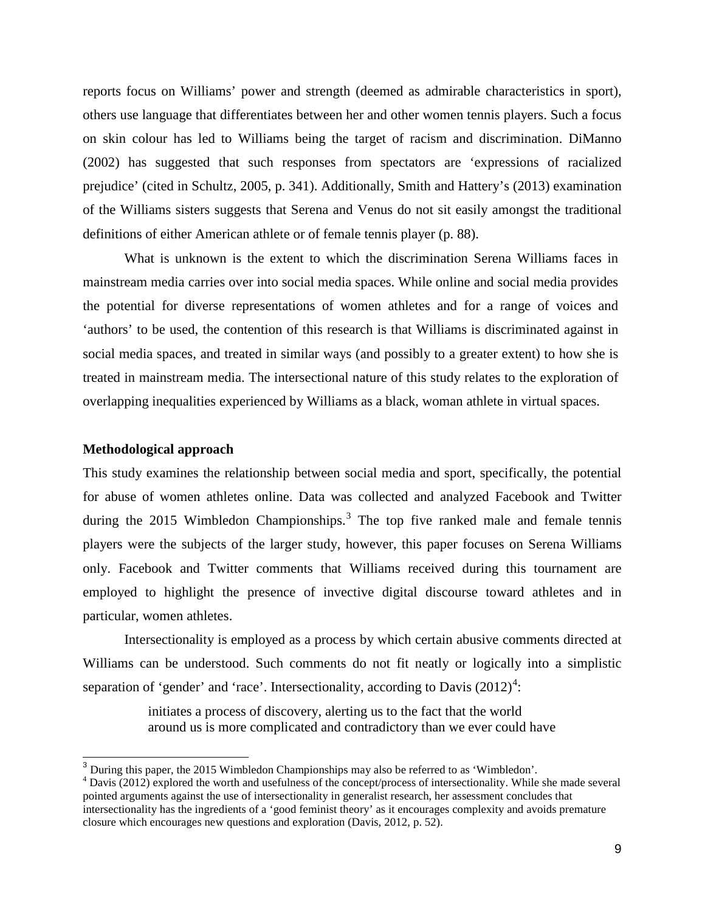reports focus on Williams' power and strength (deemed as admirable characteristics in sport), others use language that differentiates between her and other women tennis players. Such a focus on skin colour has led to Williams being the target of racism and discrimination. DiManno (2002) has suggested that such responses from spectators are 'expressions of racialized prejudice' (cited in Schultz, 2005, p. 341). Additionally, Smith and Hattery's (2013) examination of the Williams sisters suggests that Serena and Venus do not sit easily amongst the traditional definitions of either American athlete or of female tennis player (p. 88).

What is unknown is the extent to which the discrimination Serena Williams faces in mainstream media carries over into social media spaces. While online and social media provides the potential for diverse representations of women athletes and for a range of voices and 'authors' to be used, the contention of this research is that Williams is discriminated against in social media spaces, and treated in similar ways (and possibly to a greater extent) to how she is treated in mainstream media. The intersectional nature of this study relates to the exploration of overlapping inequalities experienced by Williams as a black, woman athlete in virtual spaces.

### **Methodological approach**

This study examines the relationship between social media and sport, specifically, the potential for abuse of women athletes online. Data was collected and analyzed Facebook and Twitter during the 2015 Wimbledon Championships.<sup>[3](#page-8-0)</sup> The top five ranked male and female tennis players were the subjects of the larger study, however, this paper focuses on Serena Williams only. Facebook and Twitter comments that Williams received during this tournament are employed to highlight the presence of invective digital discourse toward athletes and in particular, women athletes.

Intersectionality is employed as a process by which certain abusive comments directed at Williams can be understood. Such comments do not fit neatly or logically into a simplistic separation of 'gender' and 'race'. Intersectionality, according to Davis  $(2012)^4$  $(2012)^4$ :

> initiates a process of discovery, alerting us to the fact that the world around us is more complicated and contradictory than we ever could have

<span id="page-8-0"></span><sup>&</sup>lt;sup>3</sup> During this paper, the 2015 Wimbledon Championships may also be referred to as 'Wimbledon'.

<span id="page-8-1"></span><sup>&</sup>lt;sup>4</sup> Davis (2012) explored the worth and usefulness of the concept/process of intersectionality. While she made several pointed arguments against the use of intersectionality in generalist research, her assessment concludes that intersectionality has the ingredients of a 'good feminist theory' as it encourages complexity and avoids premature closure which encourages new questions and exploration (Davis, 2012, p. 52).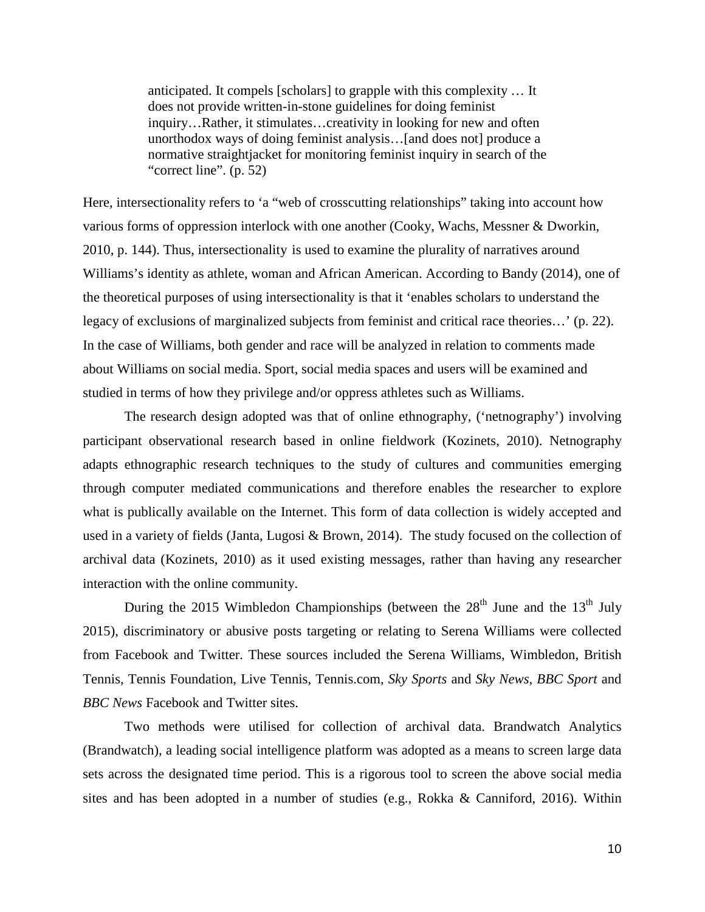anticipated. It compels [scholars] to grapple with this complexity … It does not provide written-in-stone guidelines for doing feminist inquiry…Rather, it stimulates…creativity in looking for new and often unorthodox ways of doing feminist analysis…[and does not] produce a normative straightjacket for monitoring feminist inquiry in search of the "correct line". (p. 52)

Here, intersectionality refers to 'a "web of crosscutting relationships" taking into account how various forms of oppression interlock with one another (Cooky, Wachs, Messner & Dworkin, 2010, p. 144). Thus, intersectionality is used to examine the plurality of narratives around Williams's identity as athlete, woman and African American. According to Bandy (2014), one of the theoretical purposes of using intersectionality is that it 'enables scholars to understand the legacy of exclusions of marginalized subjects from feminist and critical race theories…' (p. 22). In the case of Williams, both gender and race will be analyzed in relation to comments made about Williams on social media. Sport, social media spaces and users will be examined and studied in terms of how they privilege and/or oppress athletes such as Williams.

The research design adopted was that of online ethnography, ('netnography') involving participant observational research based in online fieldwork (Kozinets, 2010). Netnography adapts ethnographic research techniques to the study of cultures and communities emerging through computer mediated communications and therefore enables the researcher to explore what is publically available on the Internet. This form of data collection is widely accepted and used in a variety of fields (Janta, Lugosi & Brown, 2014). The study focused on the collection of archival data (Kozinets, 2010) as it used existing messages, rather than having any researcher interaction with the online community.

During the 2015 Wimbledon Championships (between the  $28<sup>th</sup>$  June and the  $13<sup>th</sup>$  July 2015), discriminatory or abusive posts targeting or relating to Serena Williams were collected from Facebook and Twitter. These sources included the Serena Williams, Wimbledon, British Tennis, Tennis Foundation, Live Tennis, Tennis.com, *Sky Sports* and *Sky News*, *BBC Sport* and *BBC News* Facebook and Twitter sites.

 Two methods were utilised for collection of archival data. Brandwatch Analytics (Brandwatch), a leading social intelligence platform was adopted as a means to screen large data sets across the designated time period. This is a rigorous tool to screen the above social media sites and has been adopted in a number of studies (e.g., Rokka & Canniford, 2016). Within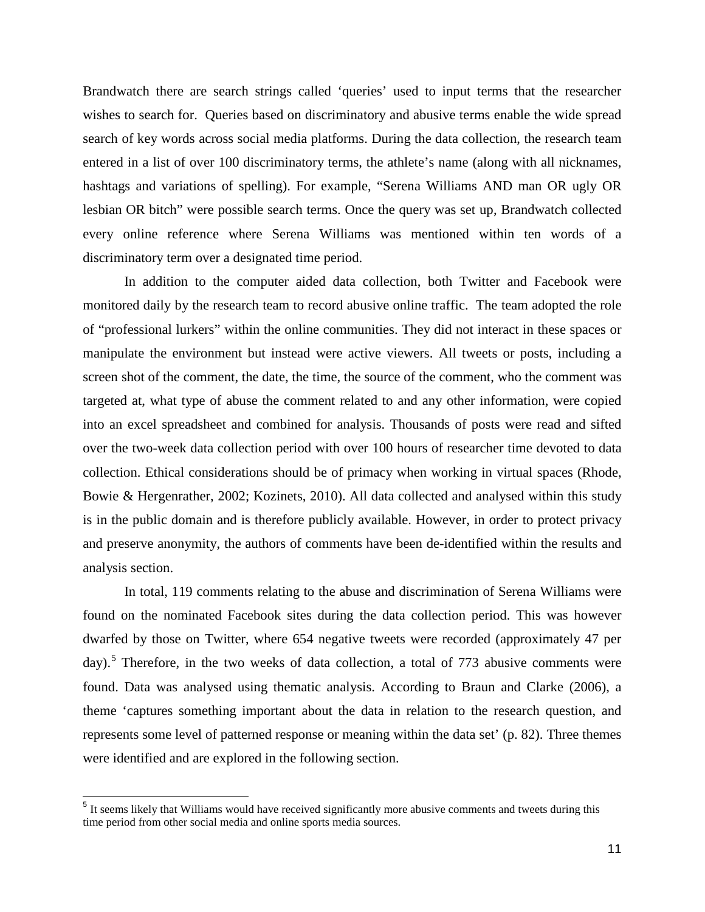Brandwatch there are search strings called 'queries' used to input terms that the researcher wishes to search for. Queries based on discriminatory and abusive terms enable the wide spread search of key words across social media platforms. During the data collection, the research team entered in a list of over 100 discriminatory terms, the athlete's name (along with all nicknames, hashtags and variations of spelling). For example, "Serena Williams AND man OR ugly OR lesbian OR bitch" were possible search terms. Once the query was set up, Brandwatch collected every online reference where Serena Williams was mentioned within ten words of a discriminatory term over a designated time period.

In addition to the computer aided data collection, both Twitter and Facebook were monitored daily by the research team to record abusive online traffic. The team adopted the role of "professional lurkers" within the online communities. They did not interact in these spaces or manipulate the environment but instead were active viewers. All tweets or posts, including a screen shot of the comment, the date, the time, the source of the comment, who the comment was targeted at, what type of abuse the comment related to and any other information, were copied into an excel spreadsheet and combined for analysis. Thousands of posts were read and sifted over the two-week data collection period with over 100 hours of researcher time devoted to data collection. Ethical considerations should be of primacy when working in virtual spaces (Rhode, Bowie & Hergenrather, 2002; Kozinets, 2010). All data collected and analysed within this study is in the public domain and is therefore publicly available. However, in order to protect privacy and preserve anonymity, the authors of comments have been de-identified within the results and analysis section.

In total, 119 comments relating to the abuse and discrimination of Serena Williams were found on the nominated Facebook sites during the data collection period. This was however dwarfed by those on Twitter, where 654 negative tweets were recorded (approximately 47 per day).<sup>[5](#page-10-0)</sup> Therefore, in the two weeks of data collection, a total of 773 abusive comments were found. Data was analysed using thematic analysis. According to Braun and Clarke (2006), a theme 'captures something important about the data in relation to the research question, and represents some level of patterned response or meaning within the data set' (p. 82). Three themes were identified and are explored in the following section.

<span id="page-10-0"></span><sup>&</sup>lt;sup>5</sup> It seems likely that Williams would have received significantly more abusive comments and tweets during this time period from other social media and online sports media sources.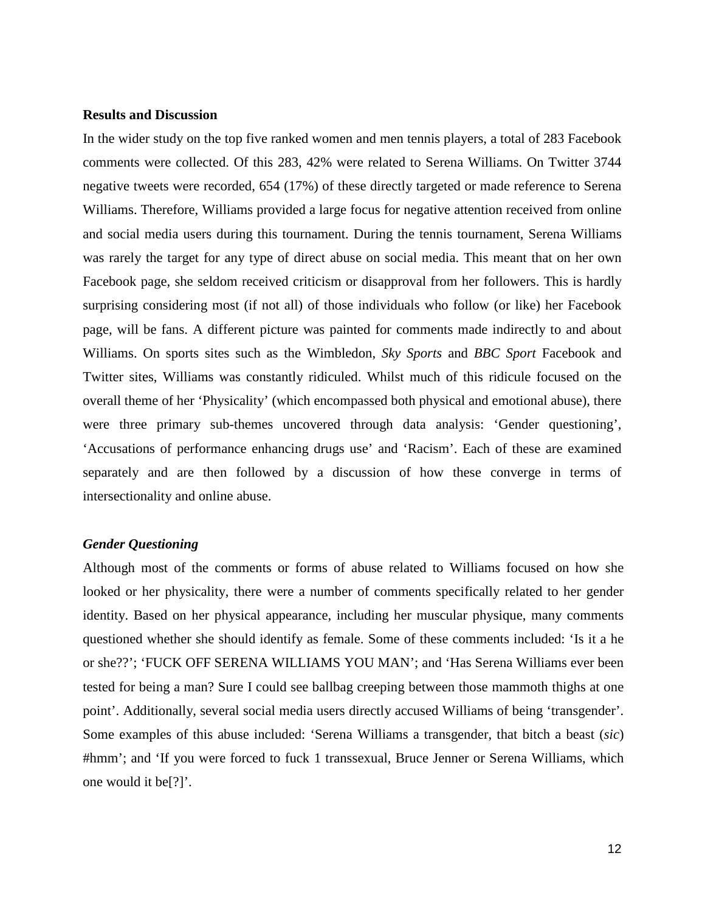### **Results and Discussion**

In the wider study on the top five ranked women and men tennis players, a total of 283 Facebook comments were collected. Of this 283, 42% were related to Serena Williams. On Twitter 3744 negative tweets were recorded, 654 (17%) of these directly targeted or made reference to Serena Williams. Therefore, Williams provided a large focus for negative attention received from online and social media users during this tournament. During the tennis tournament, Serena Williams was rarely the target for any type of direct abuse on social media. This meant that on her own Facebook page, she seldom received criticism or disapproval from her followers. This is hardly surprising considering most (if not all) of those individuals who follow (or like) her Facebook page, will be fans. A different picture was painted for comments made indirectly to and about Williams. On sports sites such as the Wimbledon, *Sky Sports* and *BBC Sport* Facebook and Twitter sites, Williams was constantly ridiculed. Whilst much of this ridicule focused on the overall theme of her 'Physicality' (which encompassed both physical and emotional abuse), there were three primary sub-themes uncovered through data analysis: 'Gender questioning', 'Accusations of performance enhancing drugs use' and 'Racism'. Each of these are examined separately and are then followed by a discussion of how these converge in terms of intersectionality and online abuse.

# *Gender Questioning*

Although most of the comments or forms of abuse related to Williams focused on how she looked or her physicality, there were a number of comments specifically related to her gender identity. Based on her physical appearance, including her muscular physique, many comments questioned whether she should identify as female. Some of these comments included: 'Is it a he or she??'; 'FUCK OFF SERENA WILLIAMS YOU MAN'; and 'Has Serena Williams ever been tested for being a man? Sure I could see ballbag creeping between those mammoth thighs at one point'. Additionally, several social media users directly accused Williams of being 'transgender'. Some examples of this abuse included: 'Serena Williams a transgender, that bitch a beast (*sic*) #hmm'; and 'If you were forced to fuck 1 transsexual, Bruce Jenner or Serena Williams, which one would it be[?]'.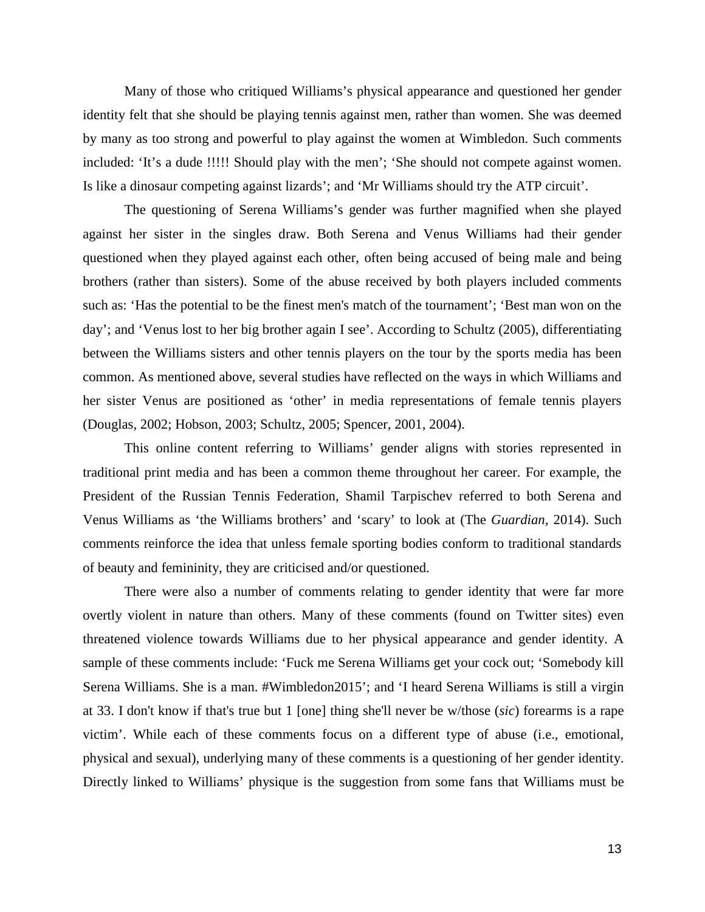Many of those who critiqued Williams's physical appearance and questioned her gender identity felt that she should be playing tennis against men, rather than women. She was deemed by many as too strong and powerful to play against the women at Wimbledon. Such comments included: 'It's a dude !!!!! Should play with the men'; 'She should not compete against women. Is like a dinosaur competing against lizards'; and 'Mr Williams should try the ATP circuit'.

The questioning of Serena Williams's gender was further magnified when she played against her sister in the singles draw. Both Serena and Venus Williams had their gender questioned when they played against each other, often being accused of being male and being brothers (rather than sisters). Some of the abuse received by both players included comments such as: 'Has the potential to be the finest men's match of the tournament'; 'Best man won on the day'; and 'Venus lost to her big brother again I see'. According to Schultz (2005), differentiating between the Williams sisters and other tennis players on the tour by the sports media has been common. As mentioned above, several studies have reflected on the ways in which Williams and her sister Venus are positioned as 'other' in media representations of female tennis players (Douglas, 2002; Hobson, 2003; Schultz, 2005; Spencer, 2001, 2004).

This online content referring to Williams' gender aligns with stories represented in traditional print media and has been a common theme throughout her career. For example, the President of the Russian Tennis Federation, Shamil Tarpischev referred to both Serena and Venus Williams as 'the Williams brothers' and 'scary' to look at (The *Guardian,* 2014). Such comments reinforce the idea that unless female sporting bodies conform to traditional standards of beauty and femininity, they are criticised and/or questioned.

There were also a number of comments relating to gender identity that were far more overtly violent in nature than others. Many of these comments (found on Twitter sites) even threatened violence towards Williams due to her physical appearance and gender identity. A sample of these comments include: 'Fuck me Serena Williams get your cock out; 'Somebody kill Serena Williams. She is a man. #Wimbledon2015'; and 'I heard Serena Williams is still a virgin at 33. I don't know if that's true but 1 [one] thing she'll never be w/those (*sic*) forearms is a rape victim'. While each of these comments focus on a different type of abuse (i.e., emotional, physical and sexual), underlying many of these comments is a questioning of her gender identity. Directly linked to Williams' physique is the suggestion from some fans that Williams must be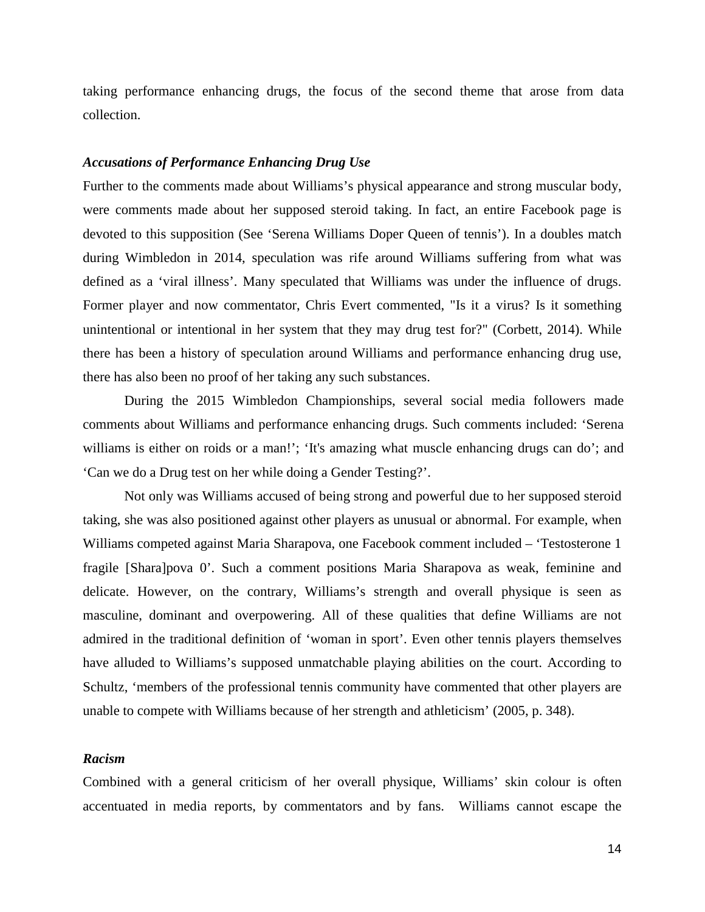taking performance enhancing drugs, the focus of the second theme that arose from data collection.

# *Accusations of Performance Enhancing Drug Use*

Further to the comments made about Williams's physical appearance and strong muscular body, were comments made about her supposed steroid taking. In fact, an entire Facebook page is devoted to this supposition (See 'Serena Williams Doper Queen of tennis'). In a doubles match during Wimbledon in 2014, speculation was rife around Williams suffering from what was defined as a 'viral illness'. Many speculated that Williams was under the influence of drugs. Former player and now commentator, Chris Evert commented, "Is it a virus? Is it something unintentional or intentional in her system that they may drug test for?" (Corbett, 2014). While there has been a history of speculation around Williams and performance enhancing drug use, there has also been no proof of her taking any such substances.

During the 2015 Wimbledon Championships, several social media followers made comments about Williams and performance enhancing drugs. Such comments included: 'Serena williams is either on roids or a man!'; 'It's amazing what muscle enhancing drugs can do'; and 'Can we do a Drug test on her while doing a Gender Testing?'.

Not only was Williams accused of being strong and powerful due to her supposed steroid taking, she was also positioned against other players as unusual or abnormal. For example, when Williams competed against Maria Sharapova, one Facebook comment included – 'Testosterone 1 fragile [Shara]pova 0'. Such a comment positions Maria Sharapova as weak, feminine and delicate. However, on the contrary, Williams's strength and overall physique is seen as masculine, dominant and overpowering. All of these qualities that define Williams are not admired in the traditional definition of 'woman in sport'. Even other tennis players themselves have alluded to Williams's supposed unmatchable playing abilities on the court. According to Schultz, 'members of the professional tennis community have commented that other players are unable to compete with Williams because of her strength and athleticism' (2005, p. 348).

### *Racism*

Combined with a general criticism of her overall physique, Williams' skin colour is often accentuated in media reports, by commentators and by fans. Williams cannot escape the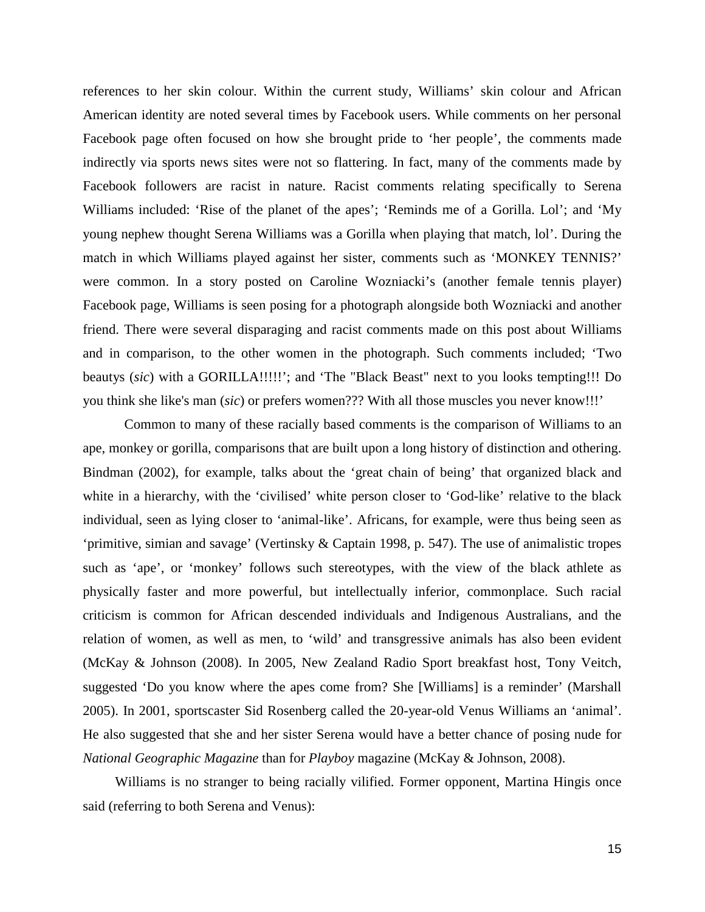references to her skin colour. Within the current study, Williams' skin colour and African American identity are noted several times by Facebook users. While comments on her personal Facebook page often focused on how she brought pride to 'her people', the comments made indirectly via sports news sites were not so flattering. In fact, many of the comments made by Facebook followers are racist in nature. Racist comments relating specifically to Serena Williams included: 'Rise of the planet of the apes'; 'Reminds me of a Gorilla. Lol'; and 'My young nephew thought Serena Williams was a Gorilla when playing that match, lol'. During the match in which Williams played against her sister, comments such as 'MONKEY TENNIS?' were common. In a story posted on Caroline Wozniacki's (another female tennis player) Facebook page, Williams is seen posing for a photograph alongside both Wozniacki and another friend. There were several disparaging and racist comments made on this post about Williams and in comparison, to the other women in the photograph. Such comments included; 'Two beautys (*sic*) with a GORILLA!!!!!'; and 'The "Black Beast" next to you looks tempting!!! Do you think she like's man (*sic*) or prefers women??? With all those muscles you never know!!!'

Common to many of these racially based comments is the comparison of Williams to an ape, monkey or gorilla, comparisons that are built upon a long history of distinction and othering. Bindman (2002), for example, talks about the 'great chain of being' that organized black and white in a hierarchy, with the 'civilised' white person closer to 'God-like' relative to the black individual, seen as lying closer to 'animal-like'. Africans, for example, were thus being seen as 'primitive, simian and savage' (Vertinsky & Captain 1998, p. 547). The use of animalistic tropes such as 'ape', or 'monkey' follows such stereotypes, with the view of the black athlete as physically faster and more powerful, but intellectually inferior, commonplace. Such racial criticism is common for African descended individuals and Indigenous Australians, and the relation of women, as well as men, to 'wild' and transgressive animals has also been evident (McKay & Johnson (2008). In 2005, New Zealand Radio Sport breakfast host, Tony Veitch, suggested 'Do you know where the apes come from? She [Williams] is a reminder' (Marshall 2005). In 2001, sportscaster Sid Rosenberg called the 20-year-old Venus Williams an 'animal'. He also suggested that she and her sister Serena would have a better chance of posing nude for *National Geographic Magazine* than for *Playboy* magazine (McKay & Johnson, 2008).

Williams is no stranger to being racially vilified. Former opponent, Martina Hingis once said (referring to both Serena and Venus):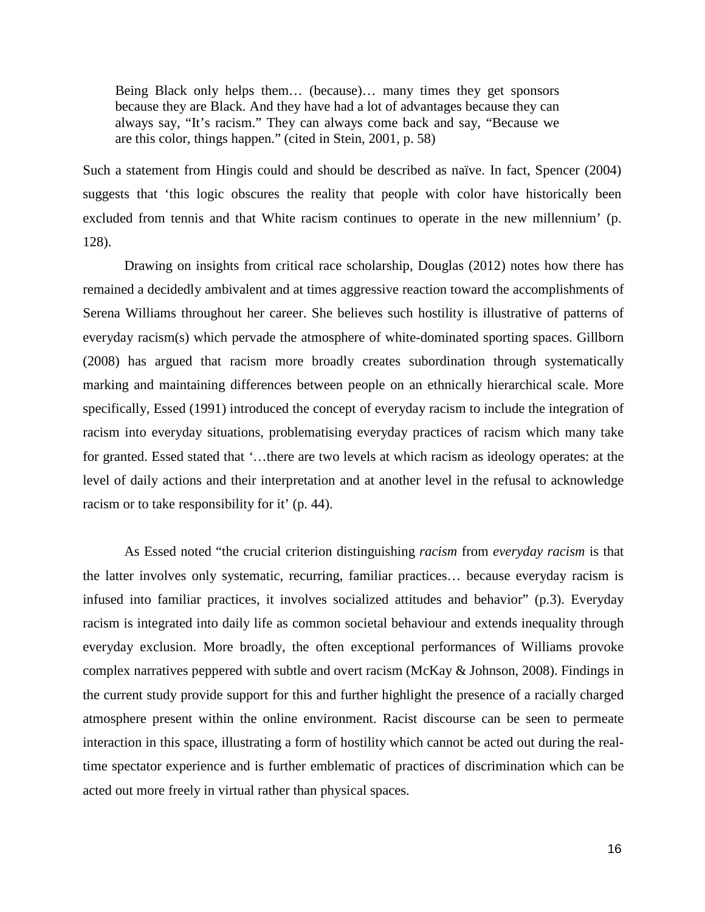Being Black only helps them… (because)… many times they get sponsors because they are Black. And they have had a lot of advantages because they can always say, "It's racism." They can always come back and say, "Because we are this color, things happen." (cited in Stein, 2001, p. 58)

Such a statement from Hingis could and should be described as naïve. In fact, Spencer (2004) suggests that 'this logic obscures the reality that people with color have historically been excluded from tennis and that White racism continues to operate in the new millennium' (p. 128).

Drawing on insights from critical race scholarship, Douglas (2012) notes how there has remained a decidedly ambivalent and at times aggressive reaction toward the accomplishments of Serena Williams throughout her career. She believes such hostility is illustrative of patterns of everyday racism(s) which pervade the atmosphere of white-dominated sporting spaces. Gillborn (2008) has argued that racism more broadly creates subordination through systematically marking and maintaining differences between people on an ethnically hierarchical scale. More specifically, Essed (1991) introduced the concept of everyday racism to include the integration of racism into everyday situations, problematising everyday practices of racism which many take for granted. Essed stated that *'*…there are two levels at which racism as ideology operates: at the level of daily actions and their interpretation and at another level in the refusal to acknowledge racism or to take responsibility for it' (p. 44).

As Essed noted "the crucial criterion distinguishing *racism* from *everyday racism* is that the latter involves only systematic, recurring, familiar practices… because everyday racism is infused into familiar practices, it involves socialized attitudes and behavior" (p.3). Everyday racism is integrated into daily life as common societal behaviour and extends inequality through everyday exclusion. More broadly, the often exceptional performances of Williams provoke complex narratives peppered with subtle and overt racism (McKay & Johnson, 2008). Findings in the current study provide support for this and further highlight the presence of a racially charged atmosphere present within the online environment. Racist discourse can be seen to permeate interaction in this space, illustrating a form of hostility which cannot be acted out during the realtime spectator experience and is further emblematic of practices of discrimination which can be acted out more freely in virtual rather than physical spaces.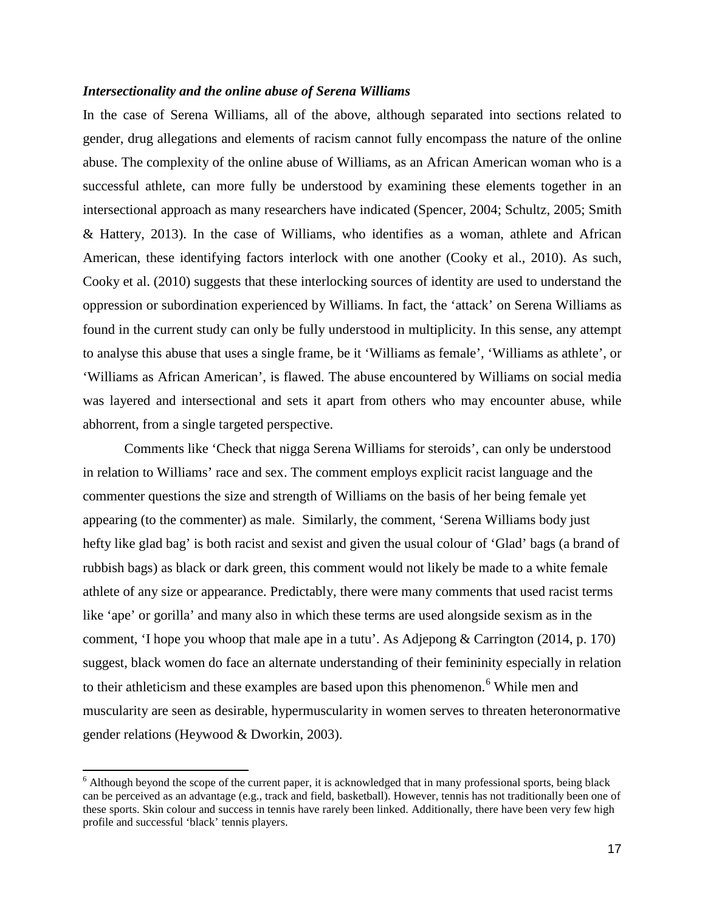# *Intersectionality and the online abuse of Serena Williams*

In the case of Serena Williams, all of the above, although separated into sections related to gender, drug allegations and elements of racism cannot fully encompass the nature of the online abuse. The complexity of the online abuse of Williams, as an African American woman who is a successful athlete, can more fully be understood by examining these elements together in an intersectional approach as many researchers have indicated (Spencer, 2004; Schultz, 2005; Smith & Hattery, 2013). In the case of Williams, who identifies as a woman, athlete and African American, these identifying factors interlock with one another (Cooky et al., 2010). As such, Cooky et al. (2010) suggests that these interlocking sources of identity are used to understand the oppression or subordination experienced by Williams. In fact, the 'attack' on Serena Williams as found in the current study can only be fully understood in multiplicity. In this sense, any attempt to analyse this abuse that uses a single frame, be it 'Williams as female', 'Williams as athlete', or 'Williams as African American', is flawed. The abuse encountered by Williams on social media was layered and intersectional and sets it apart from others who may encounter abuse, while abhorrent, from a single targeted perspective.

Comments like 'Check that nigga Serena Williams for steroids', can only be understood in relation to Williams' race and sex. The comment employs explicit racist language and the commenter questions the size and strength of Williams on the basis of her being female yet appearing (to the commenter) as male. Similarly, the comment, 'Serena Williams body just hefty like glad bag' is both racist and sexist and given the usual colour of 'Glad' bags (a brand of rubbish bags) as black or dark green, this comment would not likely be made to a white female athlete of any size or appearance. Predictably, there were many comments that used racist terms like 'ape' or gorilla' and many also in which these terms are used alongside sexism as in the comment, 'I hope you whoop that male ape in a tutu'. As Adjepong & Carrington (2014, p. 170) suggest, black women do face an alternate understanding of their femininity especially in relation to their athleticism and these examples are based upon this phenomenon.<sup>[6](#page-16-0)</sup> While men and muscularity are seen as desirable, hypermuscularity in women serves to threaten heteronormative gender relations (Heywood & Dworkin, 2003).

<span id="page-16-0"></span><sup>&</sup>lt;sup>6</sup> Although beyond the scope of the current paper, it is acknowledged that in many professional sports, being black can be perceived as an advantage (e.g., track and field, basketball). However, tennis has not traditionally been one of these sports. Skin colour and success in tennis have rarely been linked. Additionally, there have been very few high profile and successful 'black' tennis players.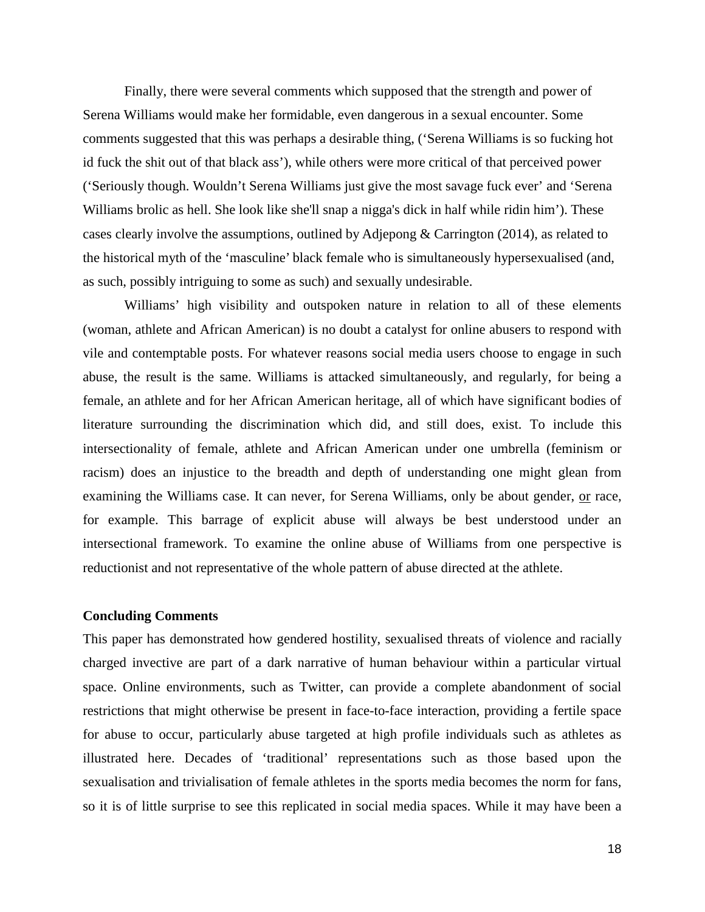Finally, there were several comments which supposed that the strength and power of Serena Williams would make her formidable, even dangerous in a sexual encounter. Some comments suggested that this was perhaps a desirable thing, ('Serena Williams is so fucking hot id fuck the shit out of that black ass'), while others were more critical of that perceived power ('Seriously though. Wouldn't Serena Williams just give the most savage fuck ever' and 'Serena Williams brolic as hell. She look like she'll snap a nigga's dick in half while ridin him'). These cases clearly involve the assumptions, outlined by Adjepong & Carrington (2014), as related to the historical myth of the 'masculine' black female who is simultaneously hypersexualised (and, as such, possibly intriguing to some as such) and sexually undesirable.

Williams' high visibility and outspoken nature in relation to all of these elements (woman, athlete and African American) is no doubt a catalyst for online abusers to respond with vile and contemptable posts. For whatever reasons social media users choose to engage in such abuse, the result is the same. Williams is attacked simultaneously, and regularly, for being a female, an athlete and for her African American heritage, all of which have significant bodies of literature surrounding the discrimination which did, and still does, exist. To include this intersectionality of female, athlete and African American under one umbrella (feminism or racism) does an injustice to the breadth and depth of understanding one might glean from examining the Williams case. It can never, for Serena Williams, only be about gender, or race, for example. This barrage of explicit abuse will always be best understood under an intersectional framework. To examine the online abuse of Williams from one perspective is reductionist and not representative of the whole pattern of abuse directed at the athlete.

# **Concluding Comments**

This paper has demonstrated how gendered hostility, sexualised threats of violence and racially charged invective are part of a dark narrative of human behaviour within a particular virtual space. Online environments, such as Twitter, can provide a complete abandonment of social restrictions that might otherwise be present in face-to-face interaction, providing a fertile space for abuse to occur, particularly abuse targeted at high profile individuals such as athletes as illustrated here. Decades of 'traditional' representations such as those based upon the sexualisation and trivialisation of female athletes in the sports media becomes the norm for fans, so it is of little surprise to see this replicated in social media spaces. While it may have been a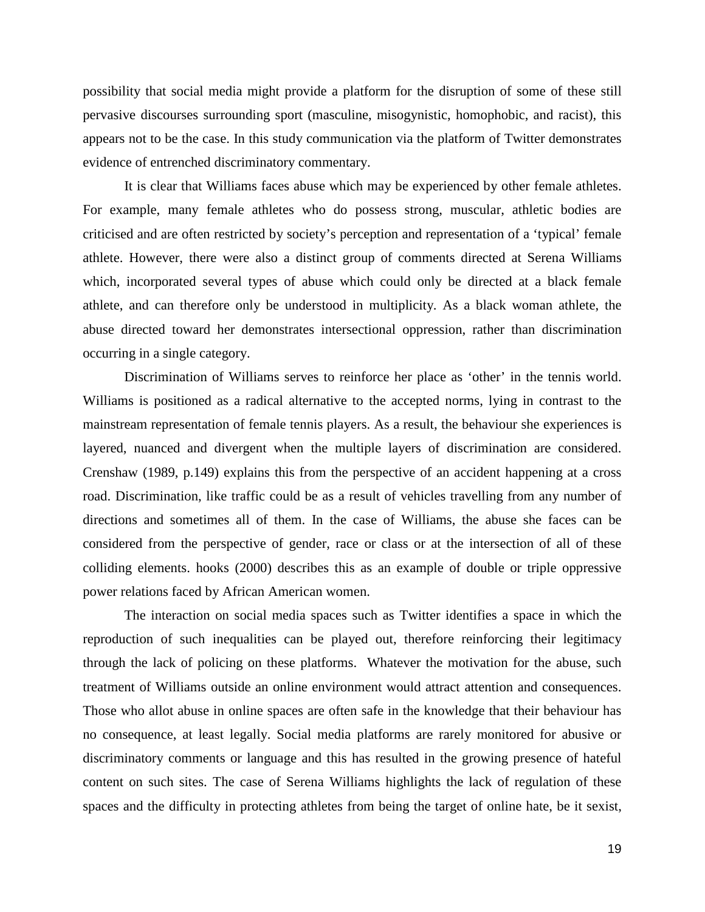possibility that social media might provide a platform for the disruption of some of these still pervasive discourses surrounding sport (masculine, misogynistic, homophobic, and racist), this appears not to be the case. In this study communication via the platform of Twitter demonstrates evidence of entrenched discriminatory commentary.

It is clear that Williams faces abuse which may be experienced by other female athletes. For example, many female athletes who do possess strong, muscular, athletic bodies are criticised and are often restricted by society's perception and representation of a 'typical' female athlete. However, there were also a distinct group of comments directed at Serena Williams which, incorporated several types of abuse which could only be directed at a black female athlete, and can therefore only be understood in multiplicity. As a black woman athlete, the abuse directed toward her demonstrates intersectional oppression, rather than discrimination occurring in a single category.

Discrimination of Williams serves to reinforce her place as 'other' in the tennis world. Williams is positioned as a radical alternative to the accepted norms, lying in contrast to the mainstream representation of female tennis players. As a result, the behaviour she experiences is layered, nuanced and divergent when the multiple layers of discrimination are considered. Crenshaw (1989, p.149) explains this from the perspective of an accident happening at a cross road. Discrimination, like traffic could be as a result of vehicles travelling from any number of directions and sometimes all of them. In the case of Williams, the abuse she faces can be considered from the perspective of gender, race or class or at the intersection of all of these colliding elements. hooks (2000) describes this as an example of double or triple oppressive power relations faced by African American women.

The interaction on social media spaces such as Twitter identifies a space in which the reproduction of such inequalities can be played out, therefore reinforcing their legitimacy through the lack of policing on these platforms. Whatever the motivation for the abuse, such treatment of Williams outside an online environment would attract attention and consequences. Those who allot abuse in online spaces are often safe in the knowledge that their behaviour has no consequence, at least legally. Social media platforms are rarely monitored for abusive or discriminatory comments or language and this has resulted in the growing presence of hateful content on such sites. The case of Serena Williams highlights the lack of regulation of these spaces and the difficulty in protecting athletes from being the target of online hate, be it sexist,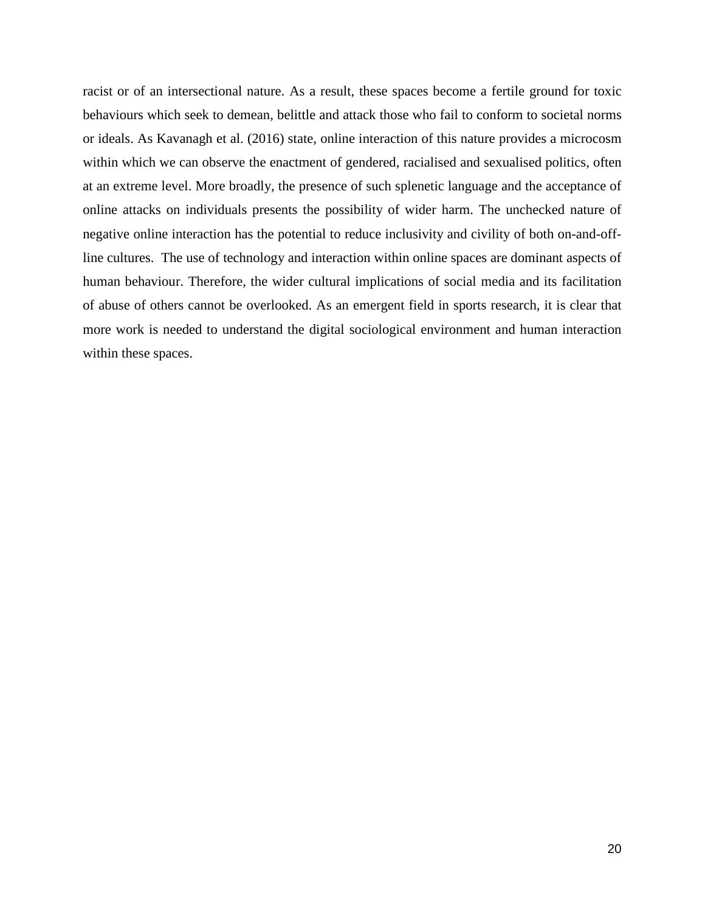racist or of an intersectional nature. As a result, these spaces become a fertile ground for toxic behaviours which seek to demean, belittle and attack those who fail to conform to societal norms or ideals. As Kavanagh et al. (2016) state, online interaction of this nature provides a microcosm within which we can observe the enactment of gendered, racialised and sexualised politics, often at an extreme level. More broadly, the presence of such splenetic language and the acceptance of online attacks on individuals presents the possibility of wider harm. The unchecked nature of negative online interaction has the potential to reduce inclusivity and civility of both on-and-offline cultures. The use of technology and interaction within online spaces are dominant aspects of human behaviour. Therefore, the wider cultural implications of social media and its facilitation of abuse of others cannot be overlooked. As an emergent field in sports research, it is clear that more work is needed to understand the digital sociological environment and human interaction within these spaces.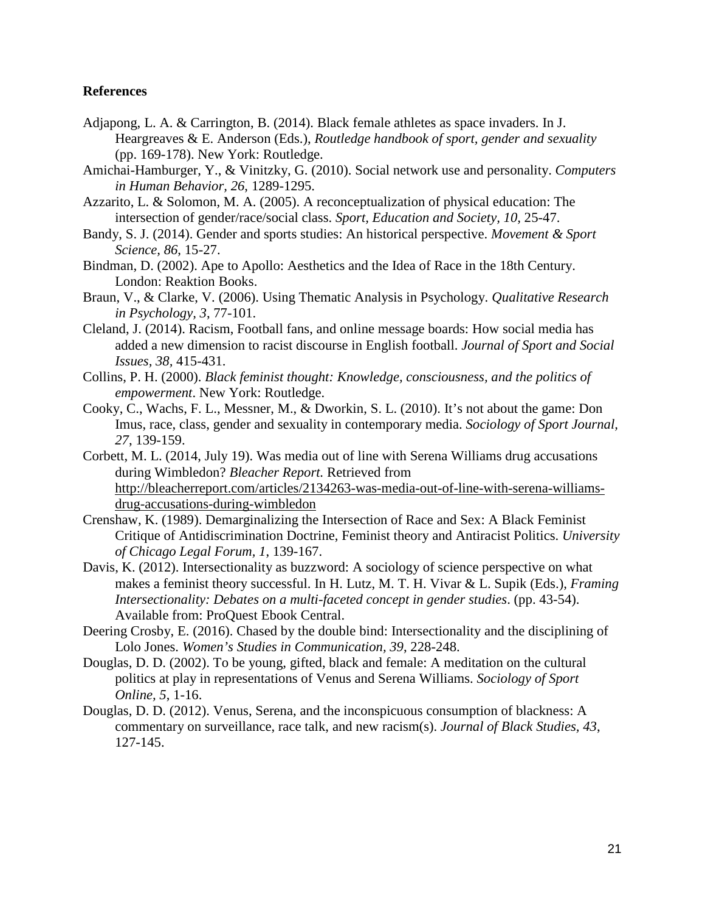# **References**

- Adjapong, L. A. & Carrington, B. (2014). Black female athletes as space invaders. In J. Heargreaves & E. Anderson (Eds.), *Routledge handbook of sport, gender and sexuality* (pp. 169-178). New York: Routledge.
- Amichai-Hamburger, Y., & Vinitzky, G. (2010). Social network use and personality. *Computers in Human Behavior, 26*, 1289-1295.
- Azzarito, L. & Solomon, M. A. (2005). A reconceptualization of physical education: The intersection of gender/race/social class. *Sport, Education and Society, 10,* 25-47.
- Bandy, S. J. (2014). Gender and sports studies: An historical perspective. *Movement & Sport Science, 86*, 15-27.
- Bindman, D. (2002). Ape to Apollo: Aesthetics and the Idea of Race in the 18th Century. London: Reaktion Books.
- Braun, V., & Clarke, V. (2006). Using Thematic Analysis in Psychology. *Qualitative Research in Psychology, 3*, 77-101.
- Cleland, J. (2014). Racism, Football fans, and online message boards: How social media has added a new dimension to racist discourse in English football. *Journal of Sport and Social Issues, 38,* 415-431.
- Collins, P. H. (2000). *Black feminist thought: Knowledge, consciousness, and the politics of empowerment*. New York: Routledge.
- Cooky, C., Wachs, F. L., Messner, M., & Dworkin, S. L. (2010). It's not about the game: Don Imus, race, class, gender and sexuality in contemporary media. *Sociology of Sport Journal, 27*, 139-159.
- Corbett, M. L. (2014, July 19). Was media out of line with Serena Williams drug accusations during Wimbledon? *Bleacher Report.* Retrieved from [http://bleacherreport.com/articles/2134263-was-media-out-of-line-with-serena-williams](http://bleacherreport.com/articles/2134263-was-media-out-of-line-with-serena-williams-drug-accusations-during-wimbledon)[drug-accusations-during-wimbledon](http://bleacherreport.com/articles/2134263-was-media-out-of-line-with-serena-williams-drug-accusations-during-wimbledon)
- Crenshaw, K. (1989). Demarginalizing the Intersection of Race and Sex: A Black Feminist Critique of Antidiscrimination Doctrine, Feminist theory and Antiracist Politics. *University of Chicago Legal Forum, 1*, 139-167.
- Davis, K. (2012). Intersectionality as buzzword: A sociology of science perspective on what makes a feminist theory successful. In H. Lutz, M. T. H. Vivar & L. Supik (Eds.), *Framing Intersectionality: Debates on a multi-faceted concept in gender studies*. (pp. 43-54). Available from: ProQuest Ebook Central.
- Deering Crosby, E. (2016). Chased by the double bind: Intersectionality and the disciplining of Lolo Jones. *Women's Studies in Communication, 39*, 228-248.
- Douglas, D. D. (2002). To be young, gifted, black and female: A meditation on the cultural politics at play in representations of Venus and Serena Williams. *Sociology of Sport Online, 5*, 1-16.
- Douglas, D. D. (2012). Venus, Serena, and the inconspicuous consumption of blackness: A commentary on surveillance, race talk, and new racism(s). *Journal of Black Studies, 43*, 127-145.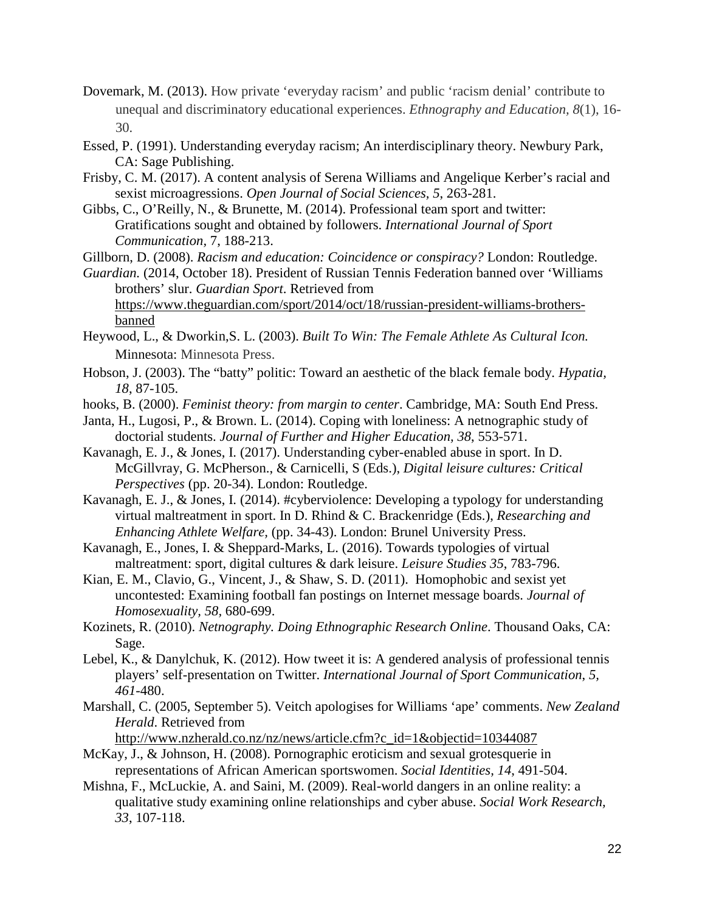- Dovemark, M. (2013). How private 'everyday racism' and public 'racism denial' contribute to unequal and discriminatory educational experiences. *Ethnography and Education, 8*(1), 16- 30.
- Essed, P. (1991). Understanding everyday racism; An interdisciplinary theory. Newbury Park, CA: Sage Publishing.
- Frisby, C. M. (2017). A content analysis of Serena Williams and Angelique Kerber's racial and sexist microagressions. *Open Journal of Social Sciences, 5*, 263-281.
- Gibbs, C., O'Reilly, N., & Brunette, M. (2014). Professional team sport and twitter: Gratifications sought and obtained by followers. *International Journal of Sport Communication,* 7, 188-213.

Gillborn, D. (2008). *Racism and education: Coincidence or conspiracy?* London: Routledge.

*Guardian.* (2014, October 18). President of Russian Tennis Federation banned over 'Williams brothers' slur. *Guardian Sport*. Retrieved from [https://www.theguardian.com/sport/2014/oct/18/russian-president-williams-brothers](https://www.theguardian.com/sport/2014/oct/18/russian-president-williams-brothers-banned)[banned](https://www.theguardian.com/sport/2014/oct/18/russian-president-williams-brothers-banned)

Heywood, L., & Dworkin,S. L. (2003). *Built To Win: The Female Athlete As Cultural Icon.*  Minnesota: Minnesota Press.

- Hobson, J. (2003). The "batty" politic: Toward an aesthetic of the black female body. *Hypatia, 18*, 87-105.
- hooks, B. (2000). *Feminist theory: from margin to center*. Cambridge, MA: South End Press.
- Janta, H., Lugosi, P., & Brown. L. (2014). Coping with loneliness: A netnographic study of doctorial students. *Journal of Further and Higher Education, 38*, 553-571.

Kavanagh, E. J., & Jones, I. (2017). Understanding cyber-enabled abuse in sport. In D. McGillvray, G. McPherson., & Carnicelli, S (Eds.), *Digital leisure cultures: Critical Perspectives* (pp. 20-34). London: Routledge.

Kavanagh, E. J., & Jones, I. (2014). #cyberviolence: Developing a typology for understanding virtual maltreatment in sport. In D. Rhind & C. Brackenridge (Eds.), *Researching and Enhancing Athlete Welfare,* (pp. 34-43). London: Brunel University Press.

Kavanagh, E., Jones, I. & Sheppard-Marks, L. (2016). Towards typologies of virtual maltreatment: sport, digital cultures & dark leisure. *Leisure Studies 35*, 783-796.

- Kian, E. M., Clavio, G., Vincent, J., & Shaw, S. D. (2011). Homophobic and sexist yet uncontested: Examining football fan postings on Internet message boards. *Journal of Homosexuality, 58,* 680-699.
- Kozinets, R. (2010). *Netnography. Doing Ethnographic Research Online*. Thousand Oaks, CA: Sage.
- Lebel, K., & Danylchuk, K. (2012). How tweet it is: A gendered analysis of professional tennis players' self-presentation on Twitter. *International Journal of Sport Communication*, *5, 461*-480.
- Marshall, C. (2005, September 5). Veitch apologises for Williams 'ape' comments. *New Zealand Herald*. Retrieved from

[http://www.nzherald.co.nz/nz/news/article.cfm?c\\_id=1&objectid=10344087](http://www.nzherald.co.nz/nz/news/article.cfm?c_id=1&objectid=10344087)

- McKay, J., & Johnson, H. (2008). Pornographic eroticism and sexual grotesquerie in representations of African American sportswomen. *Social Identities, 14*, 491-504.
- Mishna, F., McLuckie, A. and Saini, M. (2009). Real-world dangers in an online reality: a qualitative study examining online relationships and cyber abuse. *Social Work Research, 33*, 107-118.